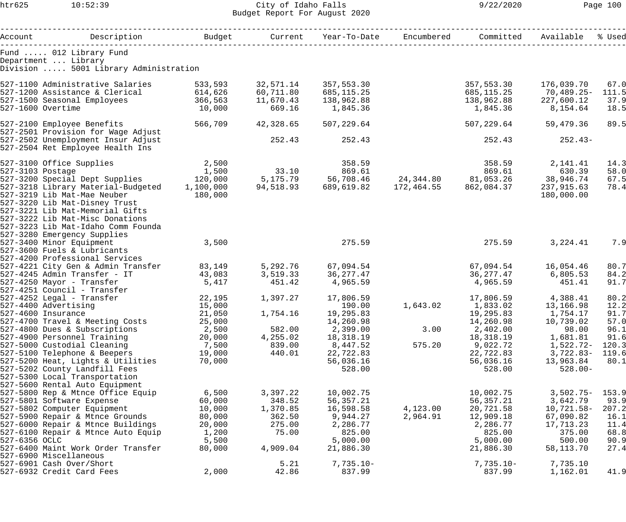htr625 10:52:39 City of Idaho Falls 9/22/2020 Page 100 Budget Report For August 2020

| Account          | Description                                | Budget          | Current   | Year-To-Date          | Encumbered | Committed             | Available             | % Used       |
|------------------|--------------------------------------------|-----------------|-----------|-----------------------|------------|-----------------------|-----------------------|--------------|
|                  | Fund  012 Library Fund                     |                 |           |                       |            |                       |                       |              |
|                  | Department  Library                        |                 |           |                       |            |                       |                       |              |
|                  | Division  5001 Library Administration      |                 |           |                       |            |                       |                       |              |
|                  |                                            |                 |           |                       |            |                       |                       |              |
|                  | 527-1100 Administrative Salaries           | 533,593         | 32,571.14 | 357,553.30            |            | 357,553.30            | 176,039.70            | 67.0         |
|                  | 527-1200 Assistance & Clerical             | 614,626         | 60,711.80 | 685,115.25            |            | 685,115.25            | 70,489.25-            | 111.5        |
|                  | 527-1500 Seasonal Employees                | 366,563         | 11,670.43 | 138,962.88            |            | 138,962.88            | 227,600.12            | 37.9         |
|                  | $527 - 1600$ Overtime                      | 10,000          | 669.16    | 1,845.36              |            | 1,845.36              | 8,154.64              | 18.5         |
|                  | 527-2100 Employee Benefits                 | 566,709         | 42,328.65 | 507,229.64            |            | 507,229.64            | 59,479.36             | 89.5         |
|                  | 527-2501 Provision for Wage Adjust         |                 |           |                       |            |                       |                       |              |
|                  | 527-2502 Unemployment Insur Adjust         |                 | 252.43    | 252.43                |            | 252.43                | $252.43-$             |              |
|                  | 527-2504 Ret Employee Health Ins           |                 |           |                       |            |                       |                       |              |
|                  | 527-3100 Office Supplies                   | 2,500           |           | 358.59                |            | 358.59                | 2,141.41              | 14.3         |
| 527-3103 Postage |                                            | 1,500           | 33.10     | 869.61                |            | 869.61                | 630.39                | 58.0         |
|                  | 527-3200 Special Dept Supplies             | 120,000         | 5,175.79  | 56,708.46             | 24,344.80  | 81,053.26             | 38,946.74             | 67.5         |
|                  | 527-3218 Library Material-Budgeted         | 1,100,000       | 94,518.93 | 689,619.82            | 172,464.55 | 862,084.37            | 237,915.63            | 78.4         |
|                  | 527-3219 Lib Mat-Mae Neuber                | 180,000         |           |                       |            |                       | 180,000.00            |              |
|                  | 527-3220 Lib Mat-Disney Trust              |                 |           |                       |            |                       |                       |              |
|                  | 527-3221 Lib Mat-Memorial Gifts            |                 |           |                       |            |                       |                       |              |
|                  | 527-3222 Lib Mat-Misc Donations            |                 |           |                       |            |                       |                       |              |
|                  | 527-3223 Lib Mat-Idaho Comm Founda         |                 |           |                       |            |                       |                       |              |
|                  | 527-3280 Emergency Supplies                |                 |           |                       |            |                       |                       |              |
|                  | 527-3400 Minor Equipment                   | 3,500           |           | 275.59                |            | 275.59                | 3,224.41              | 7.9          |
|                  | 527-3600 Fuels & Lubricants                |                 |           |                       |            |                       |                       |              |
|                  | 527-4200 Professional Services             |                 |           |                       |            |                       |                       |              |
|                  | 527-4221 City Gen & Admin Transfer         | 83,149          | 5,292.76  | 67,094.54             |            | 67,094.54             | 16,054.46             | 80.7         |
|                  | 527-4245 Admin Transfer - IT               | 43,083          | 3,519.33  | 36,277.47             |            | 36,277.47             | 6,805.53              | 84.2         |
|                  | 527-4250 Mayor - Transfer                  | 5,417           | 451.42    | 4,965.59              |            | 4,965.59              | 451.41                | 91.7         |
|                  | 527-4251 Council - Transfer                |                 |           |                       |            |                       |                       |              |
|                  | 527-4252 Legal - Transfer                  | 22,195          | 1,397.27  | 17,806.59             |            | 17,806.59             | 4,388.41              | 80.2         |
|                  | 527-4400 Advertising<br>527-4600 Insurance | 15,000          | 1,754.16  | 190.00                | 1,643.02   | 1,833.02              | 13,166.98<br>1,754.17 | 12.2<br>91.7 |
|                  | 527-4700 Travel & Meeting Costs            | 21,050          |           | 19,295.83             |            | 19,295.83             | 10,739.02             |              |
|                  | 527-4800 Dues & Subscriptions              | 25,000<br>2,500 | 582.00    | 14,260.98<br>2,399.00 | 3.00       | 14,260.98<br>2,402.00 | 98.00                 | 57.0<br>96.1 |
|                  | 527-4900 Personnel Training                | 20,000          | 4,255.02  | 18,318.19             |            | 18,318.19             | 1,681.81              | 91.6         |
|                  | 527-5000 Custodial Cleaning                | 7,500           | 839.00    | 8,447.52              | 575.20     | 9,022.72              | 1,522.72-             | 120.3        |
|                  | 527-5100 Telephone & Beepers               | 19,000          | 440.01    | 22,722.83             |            | 22,722.83             | $3,722.83-$           | 119.6        |
|                  | 527-5200 Heat, Lights & Utilities          | 70,000          |           | 56,036.16             |            | 56,036.16             | 13,963.84             | 80.1         |
|                  | 527-5202 County Landfill Fees              |                 |           | 528.00                |            | 528.00                | $528.00 -$            |              |
|                  | 527-5300 Local Transportation              |                 |           |                       |            |                       |                       |              |
|                  | 527-5600 Rental Auto Equipment             |                 |           |                       |            |                       |                       |              |
|                  | 527-5800 Rep & Mtnce Office Equip          | 6,500           | 3,397.22  | 10,002.75             |            | 10,002.75             | $3,502.75-$           | 153.9        |
|                  | 527-5801 Software Expense                  | 60,000          | 348.52    | 56,357.21             |            | 56,357.21             | 3,642.79              | 93.9         |
|                  | 527-5802 Computer Equipment                | 10,000          | 1,370.85  | 16,598.58             | 4,123.00   | 20,721.58             | $10,721.58-$          | 207.2        |
|                  | 527-5900 Repair & Mtnce Grounds            | 80,000          | 362.50    | 9,944.27              | 2,964.91   | 12,909.18             | 67,090.82             | 16.1         |
|                  | 527-6000 Repair & Mtnce Buildings          | 20,000          | 275.00    | 2,286.77              |            | 2,286.77              | 17,713.23             | 11.4         |
|                  | 527-6100 Repair & Mtnce Auto Equip         | 1,200           | 75.00     | 825.00                |            | 825.00                | 375.00                | 68.8         |
| 527-6356 OCLC    |                                            | 5,500           |           | 5,000.00              |            | 5,000.00              | 500.00                | 90.9         |
|                  | 527-6400 Maint Work Order Transfer         | 80,000          | 4,909.04  | 21,886.30             |            | 21,886.30             | 58, 113. 70           | 27.4         |
|                  | 527-6900 Miscellaneous                     |                 |           |                       |            |                       |                       |              |
|                  | 527-6901 Cash Over/Short                   |                 | 5.21      | $7,735.10-$           |            | $7,735.10-$           | 7,735.10              |              |
|                  | 527-6932 Credit Card Fees                  | 2,000           | 42.86     | 837.99                |            | 837.99                | 1,162.01              | 41.9         |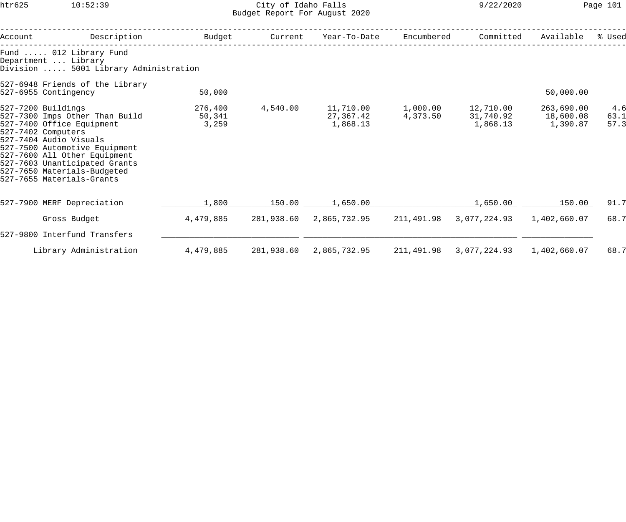## htr625 10:52:39 City of Idaho Falls 9/22/2020 Page 101 Budget Report For August 2020

| Account | Description                                                                                                                                                                                                                                                                                     | Budget                     | Current    | Year-To-Date                       | Encumbered           | Committed                          | Available                           | % Used              |
|---------|-------------------------------------------------------------------------------------------------------------------------------------------------------------------------------------------------------------------------------------------------------------------------------------------------|----------------------------|------------|------------------------------------|----------------------|------------------------------------|-------------------------------------|---------------------|
|         | Fund  012 Library Fund<br>Department  Library<br>Division  5001 Library Administration                                                                                                                                                                                                          |                            |            |                                    |                      |                                    |                                     |                     |
|         | 527-6948 Friends of the Library<br>527-6955 Contingency                                                                                                                                                                                                                                         | 50,000                     |            |                                    |                      |                                    | 50,000.00                           |                     |
|         | 527-7200 Buildings<br>527-7300 Imps Other Than Build<br>527-7400 Office Equipment<br>527-7402 Computers<br>527-7404 Audio Visuals<br>527-7500 Automotive Equipment<br>527-7600 All Other Equipment<br>527-7603 Unanticipated Grants<br>527-7650 Materials-Budgeted<br>527-7655 Materials-Grants | 276,400<br>50,341<br>3,259 | 4,540.00   | 11,710.00<br>27,367.42<br>1,868.13 | 1,000.00<br>4,373.50 | 12,710.00<br>31,740.92<br>1,868.13 | 263,690.00<br>18,600.08<br>1,390.87 | 4.6<br>63.1<br>57.3 |
|         | 527-7900 MERF Depreciation                                                                                                                                                                                                                                                                      | 1,800                      | 150.00     | 1,650.00                           |                      | 1,650.00                           | 150.00                              | 91.7                |
|         | Gross Budget                                                                                                                                                                                                                                                                                    | 4,479,885                  | 281,938.60 | 2,865,732.95                       | 211,491.98           | 3,077,224.93                       | 1,402,660.07                        | 68.7                |
|         | 527-9800 Interfund Transfers                                                                                                                                                                                                                                                                    |                            |            |                                    |                      |                                    |                                     |                     |
|         | Library Administration                                                                                                                                                                                                                                                                          | 4,479,885                  | 281,938.60 | 2,865,732.95                       | 211,491.98           | 3,077,224.93                       | 1,402,660.07                        | 68.7                |
|         |                                                                                                                                                                                                                                                                                                 |                            |            |                                    |                      |                                    |                                     |                     |